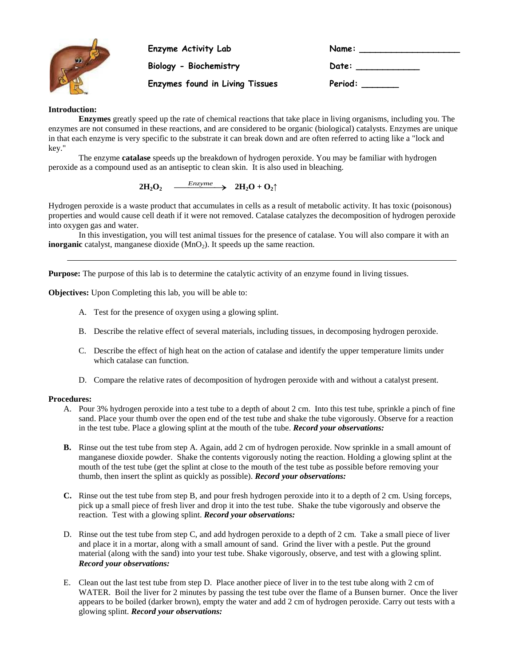

**Enzyme Activity Lab**  $Biology - Biochemistry$ 

| Name:   |  |
|---------|--|
| Date:   |  |
| Period: |  |

**Enzymes found in Living Tissues** 

## **Introduction:**

**Enzymes** greatly speed up the rate of chemical reactions that take place in living organisms, including you. The enzymes are not consumed in these reactions, and are considered to be organic (biological) catalysts. Enzymes are unique in that each enzyme is very specific to the substrate it can break down and are often referred to acting like a "lock and key."

The enzyme **catalase** speeds up the breakdown of hydrogen peroxide. You may be familiar with hydrogen peroxide as a compound used as an antiseptic to clean skin. It is also used in bleaching.

 $2H_2O_2$   $\longrightarrow$   $2H_2O + O_2\uparrow$ 

Hydrogen peroxide is a waste product that accumulates in cells as a result of metabolic activity. It has toxic (poisonous) properties and would cause cell death if it were not removed. Catalase catalyzes the decomposition of hydrogen peroxide into oxygen gas and water.

In this investigation, you will test animal tissues for the presence of catalase. You will also compare it with an **inorganic** catalyst, manganese dioxide (MnO<sub>2</sub>). It speeds up the same reaction.

**Purpose:** The purpose of this lab is to determine the catalytic activity of an enzyme found in living tissues.

**Objectives:** Upon Completing this lab, you will be able to:

- A. Test for the presence of oxygen using a glowing splint.
- B. Describe the relative effect of several materials, including tissues, in decomposing hydrogen peroxide.
- C. Describe the effect of high heat on the action of catalase and identify the upper temperature limits under which catalase can function.
- D. Compare the relative rates of decomposition of hydrogen peroxide with and without a catalyst present.

## **Procedures:**

- A. Pour 3% hydrogen peroxide into a test tube to a depth of about 2 cm. Into this test tube, sprinkle a pinch of fine sand. Place your thumb over the open end of the test tube and shake the tube vigorously. Observe for a reaction in the test tube. Place a glowing splint at the mouth of the tube. *Record your observations:*
- **B.** Rinse out the test tube from step A. Again, add 2 cm of hydrogen peroxide. Now sprinkle in a small amount of manganese dioxide powder. Shake the contents vigorously noting the reaction. Holding a glowing splint at the mouth of the test tube (get the splint at close to the mouth of the test tube as possible before removing your thumb, then insert the splint as quickly as possible). *Record your observations:*
- **C.** Rinse out the test tube from step B, and pour fresh hydrogen peroxide into it to a depth of 2 cm. Using forceps, pick up a small piece of fresh liver and drop it into the test tube. Shake the tube vigorously and observe the reaction. Test with a glowing splint. *Record your observations:*
- D. Rinse out the test tube from step C, and add hydrogen peroxide to a depth of 2 cm. Take a small piece of liver and place it in a mortar, along with a small amount of sand. Grind the liver with a pestle. Put the ground material (along with the sand) into your test tube. Shake vigorously, observe, and test with a glowing splint. *Record your observations:*
- E. Clean out the last test tube from step D. Place another piece of liver in to the test tube along with 2 cm of WATER. Boil the liver for 2 minutes by passing the test tube over the flame of a Bunsen burner. Once the liver appears to be boiled (darker brown), empty the water and add 2 cm of hydrogen peroxide. Carry out tests with a glowing splint. *Record your observations:*